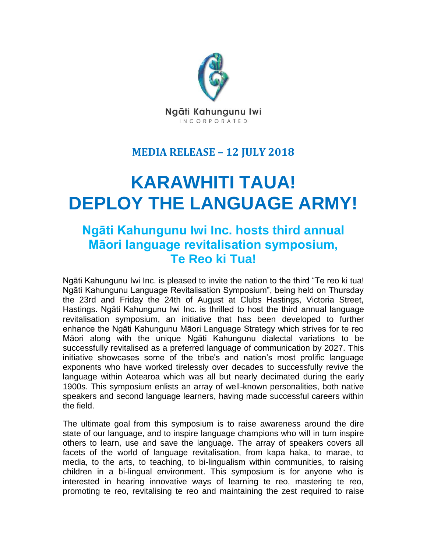

## **MEDIA RELEASE – 12 JULY 2018**

## **KARAWHITI TAUA! DEPLOY THE LANGUAGE ARMY!**

## **Ngāti Kahungunu Iwi Inc. hosts third annual Māori language revitalisation symposium, Te Reo ki Tua!**

Ngāti Kahungunu Iwi Inc. is pleased to invite the nation to the third "Te reo ki tua! Ngāti Kahungunu Language Revitalisation Symposium", being held on Thursday the 23rd and Friday the 24th of August at Clubs Hastings, Victoria Street, Hastings. Ngāti Kahungunu Iwi Inc. is thrilled to host the third annual language revitalisation symposium, an initiative that has been developed to further enhance the Ngāti Kahungunu Māori Language Strategy which strives for te reo Māori along with the unique Ngāti Kahungunu dialectal variations to be successfully revitalised as a preferred language of communication by 2027. This initiative showcases some of the tribe's and nation's most prolific language exponents who have worked tirelessly over decades to successfully revive the language within Aotearoa which was all but nearly decimated during the early 1900s. This symposium enlists an array of well-known personalities, both native speakers and second language learners, having made successful careers within the field.

The ultimate goal from this symposium is to raise awareness around the dire state of our language, and to inspire language champions who will in turn inspire others to learn, use and save the language. The array of speakers covers all facets of the world of language revitalisation, from kapa haka, to marae, to media, to the arts, to teaching, to bi-lingualism within communities, to raising children in a bi-lingual environment. This symposium is for anyone who is interested in hearing innovative ways of learning te reo, mastering te reo, promoting te reo, revitalising te reo and maintaining the zest required to raise